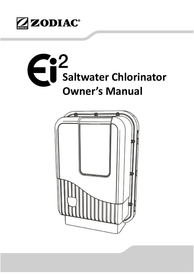

# **Saltwater Chlorinator Owner's Manual**

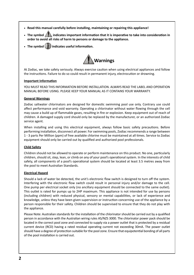- **Read this manual carefully before installing, maintaining or repairing this appliance!**
- The symbol **indicates important information that it is imperative to take into consideration in order to avoid all risks of harm to persons or damage to the appliance.**
- The symbol  $\boxed{\bullet}$  indicates useful information.



At Zodiac, we take safety seriously. Always exercise caution when using electrical appliances and follow the instructions. Failure to do so could result in permanent injury, electrocution or drowning.

#### **Important Information**

YOU MUST READ THIS INFORMATION BEFORE INSTALLATION. ALWAYS READ THE LABEL AND OPERATION MANUAL BEFORE USING. PLEASE KEEP YOUR MANUAL AS IT CONTAINS YOUR WARRANTY.

#### **General Warnings**

Zodiac saltwater chlorinators are designed for domestic swimming pool use only. Contrary use could affect performance and void warranty. Operating a chlorinator without water flowing through the cell may cause a build up of flammable gases, resulting in fire or explosion. Keep equipment out of reach of children. A damaged supply cord should only be replaced by the manufacturer, or an authorized Zodiac service agent.

When installing and using this electrical equipment, always follow basic safety precautions. Before performing installation, disconnect all power. For swimming pools, Zodiac recommends a range between 1 - 3 parts Per Million (ppm) of free available chlorine must be maintained at all mes. Service to Zodiac equipment should only be carried out by qualified and authorized pool professionals.

#### **Child Safety**

Children should not be allowed to operate or perform maintenance on this product. No one, particularly children, should sit, step, lean, or climb on any of your pool's operational system. In the interests of child safety, all components of a pool's operational system should be located at least 3.5 metres away from the pool to meet Australian Standards.

#### **Electrical Hazard**

Should a lack of water be detected, the unit's electronic flow switch is designed to turn off the system. Interfering with the electronic flow switch could result in personal injury and/or damage to the cell. One pump per electrical socket only (no ancillary equipment should be connected to the same outlet). This outlet is rated for pumps up to 2HP maximum. This appliance is not intended for use by persons (including children) with reduced physical, sensory or mental capabilities, or lack of experience and knowledge, unless they have been given supervision or instruction concerning use of the appliance by a person responsible for their safety. Children should be supervised to ensure that they do not play with the appliance.

Please Note: Australian standards for the installation of the chlorinator should be carried out by a qualified person in accordance with the Australian wiring rules AS/NZS 3000. The chlorinator power pack should be located in the correct pool zone and connected to supply via a power outlet that is protected by a residual current device (RCD) having a rated residual operating current not exceeding 30mA. The power outlet should have a degree of protection suitable for the pool zone. Ensure that equipotential bonding of all parts of the pool installation is carried out.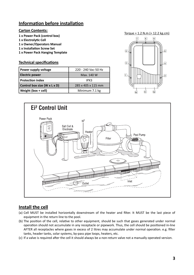## **Information before installation**

#### **Carton Contents:**

- **1 x Power Pack (control box)**
- **1 x Electrolytic Cell**
- **1 x Owner/Operators Manual**
- **1 x Installation Screw Set**
- **1 x Power Pack Hanging Template**

#### **Technical specifications**

| Power supply voltage         | 220 - 240 Vac-50 Hz |  |  |  |
|------------------------------|---------------------|--|--|--|
| <b>Electric power</b>        | Max. 140 W          |  |  |  |
| <b>Protection index</b>      | IPX3                |  |  |  |
| Control box size (W x L x D) | 285 x 405 x 115 mm  |  |  |  |
| Weight (box + cell)          | Minimum 7.1 kg      |  |  |  |





## **Install the cell**

- (a) Cell MUST be installed horizontally downstream of the heater and filter. It MUST be the last piece of equipment in the return line to the pool.
- (b) The position of the cell, relative to other equipment, should be such that gases generated under normal operation should not accumulate in any receptacle or pipework. Thus, the cell should be positioned in-line AFTER all receptacles where gases in excess of 2 litres may accumulate under normal operation. e.g. filter tanks, header tanks, solar systems, by-pass pipe loops, heaters, etc.
- (c) If a valve is required after the cell it should always be a non-return valve not a manually operated version.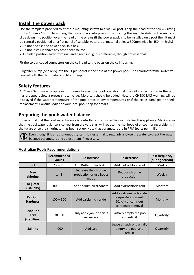## **Install the power pack**

Use the template provided to fit the 2 mounting screws to a wall or post. Keep the head of the screws sitting up by 10mm - 15mm. Now hang the power pack into position by locating the keyhole slots on the rear and slide down into position over the head of the screws (If the power pack is to be installed on a post then it must be centrally positioned on a flat panel of suitable waterproof material at least 300mm wide by 450mm high.)

- Do not enclose the power pack in a box.
- Do not install it above any other heat source.
- A shaded position away from rain and direct sunlight is preferable, though not essential.

Fit the colour coded connectors on the cell lead to the posts on the cell housing.

Plug filter pump (one only) into the 3-pin socket in the base of the power pack. The chlorinator time switch will control both the chlorinator and filter pump.

## **Safety features**

A 'Check Salt' warning appears on screen to alert the pool operator that the salt concentration in the pool has dropped below a preset critical value. More salt should be added. Note the CHECK SALT warning will be displayed if the water temperature of the pool drops to low temperatures or if the cell is damaged or needs replacement. Consult Zodiac or your local pool shop for details.

## **Preparing the pool: water balance**

It is essential that the pool water balance is controlled and adjusted before installing the appliance. Making sure that the pool water balance is correct from the very start will reduce the likelihood of encountering problems in the future once the chlorinator has been set up. Note that parameters are in PPM (parts per million).

Even though it is an autonomous system, it is essential to regularly analyse the water to check the water balance parameters and adjust them if necessary.

|                                        | Recommended<br>values | To decrease<br>To increase                               |                                                                                             | <b>Test frequency</b><br>(during season) |  |
|----------------------------------------|-----------------------|----------------------------------------------------------|---------------------------------------------------------------------------------------------|------------------------------------------|--|
| pH                                     | $7.2 - 7.6$           | Add Buffer or Soda Ash                                   | Add hydrochloric acid                                                                       | Weekly                                   |  |
| Free<br>chlorine                       | $1 - 3$               | Increase the chlorine<br>production or use Boost<br>mode | Reduce chlorine<br>production                                                               | Weekly                                   |  |
| <b>TA (Total</b><br><b>Alkalinity)</b> | $80 - 150$            | Add sodium bicarbonate                                   | Add hydrochloric acid                                                                       | Monthly                                  |  |
| Calcium<br><b>Hardness</b>             | $100 - 300$           | Add calcium chloride                                     | Add a calcium carbonate<br>sequestering agent<br>(Calci-) or carry out<br>carbonate removal | Monthly                                  |  |
| Cyanuric<br>acid<br>(stabiliser)       | $30 - 50$             | Only add cyanuric acid if<br>necessary                   | Partially empty the pool<br>and refill it                                                   | Quarterly                                |  |
| Salinity                               | 4000                  | Add salt                                                 | Leave as such or partially<br>empty the pool and<br>refill it                               | Quarterly                                |  |

#### **Australian Pools Recommendations**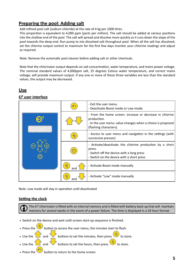## **Preparing the pool: Adding salt**

Add refined pool salt (sodium chloride) at the rate of 4 kg per 1000 litres.

This proportion is equivalent to 4,000 ppm (parts per million). The salt should be added at various positions into the shallow end of the pool. The salt will spread and dissolve more quickly as it runs down the slope of the pool towards the deep end. Run pump to mix dissolved salt throughout pool. When all the salt has dissolved, set the chlorine output control to maximum for the first few days monitor your chlorine readings and adjust as required.

Note: Remove the automatic pool cleaner before adding salt or other chemicals.

Note that the chlorinator output depends on salt concentration, water temperature, and mains power voltage. The nominal standard values of 4,000ppm salt, 25 degrees Celsius water temperature, and correct mains voltage, will provide maximum output. If any one or more of these three variables are less than the standard values, the output may be decreased.

## **Use**

#### **Ei² user interface**

|           | - Exit the user menu.<br>- Deactivate Boost mode or Low mode.                                                                                                                                                                                                                                                                                                                                                                                                                             |  |  |  |
|-----------|-------------------------------------------------------------------------------------------------------------------------------------------------------------------------------------------------------------------------------------------------------------------------------------------------------------------------------------------------------------------------------------------------------------------------------------------------------------------------------------------|--|--|--|
|           | - From the home screen: increase or decrease in chlorine<br>production.<br>- In the user menu: value changes when a choice is proposed<br>(flashing characters).<br>- Access to user menu and navigation in the settings (with<br>successive presses)<br>- Activate/deactivate the chlorine production by a short<br>press.<br>- Switch off the device with a long press<br>- Switch on the device with a short press<br>- Activate Boost mode manually<br>- Activate "Low" mode manually |  |  |  |
| 兯         |                                                                                                                                                                                                                                                                                                                                                                                                                                                                                           |  |  |  |
|           |                                                                                                                                                                                                                                                                                                                                                                                                                                                                                           |  |  |  |
| 氺<br>and  |                                                                                                                                                                                                                                                                                                                                                                                                                                                                                           |  |  |  |
| γ⊱<br>and |                                                                                                                                                                                                                                                                                                                                                                                                                                                                                           |  |  |  |

Note: Low mode will stay in operation until deactivated

#### **Setting the clock**

The Ei<sup>2</sup> chlorinator is fitted with an internal memory and is fitted with battery back up that will maintain memory for several weeks in the event of a power failure. The time is displayed in a 24 hour format.

- Switch on the device and wait until screen start-up sequence is finished.
- Press the button to access the user menu, the minutes start to flash.
- Use the  $\overline{\phantom{a}}$  and buttons to set the minutes, then press to store.
- Use the  $\begin{array}{\sqrt{a}} \end{array}$  and  $\begin{array}{\sqrt{a}} \end{array}$  buttons to set the hours, then press
- Press the button to return to the home screen.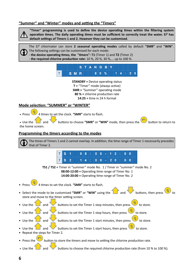#### "Summer" and "Winter" modes and setting the "Timers"



"Timer" programming is used to define the device operating times within the filtering system operation times. The daily operating times must be sufficient to correctly treat the water. Ei<sup>2</sup> has default settings of Timers 1 and 2. However they can be customised.



The Ei<sup>2</sup> chlorinator can store 2 seasonal operating modes called by default "SMR" and "WIN". The following settings can be customised for each mode:

- **the device operating times, the "timers": T1** (Timer 1) and **T2** (Timer 2)
	- the required chlorine production rate: 10 %, 20 %, 30 %,... up to 100 %.



**STANDBY** = Device operating status **T** = "Timer" mode (always active) **SMR** = "Summer" operating mode **80 % =** chlorine production rate **14:25 = time in 24 h format** 

#### **Mode selection: "SUMMER" or "WINTER"**

**Press** 4 times to set the clock. **"SMR"** starts to flash.

 $\bullet$  Use the  $\begin{bmatrix} 1 & 0 \\ 0 & 0 \end{bmatrix}$  and buttons to choose "SMR" or "WIN" mode, then press the button to return to the home screen.

#### **Programming the timers according to the modes**

The times of Timers 1 and 2 cannot overlap. In addition, the time range of Timer 1 necessarily precedes that of Timer 2.

|  | T S 1 |  |  | $ 0 8 : 0 0  -  1 2 : 0 0$ |  |  |  |  |  |
|--|-------|--|--|----------------------------|--|--|--|--|--|
|  | T S 2 |  |  | $14:00-20:00$              |  |  |  |  |  |

**TS1 / TS2 =** Timer in "summer" mode No. 1 / Timer in "summer" mode No. 2 **08:00-12:00 =** Operating time range of Timer No. 1

**14:00-20:00 =** Operating time range of Timer No. 2

- 4 times to set the clock. "SMR" starts to flash.
- Select the mode to be customised "SMR" or "WIN" using the  $\Box$  and  $\Box$  buttons, then press store and move to the timer setting screen.
- Use the and buttons to set the Timer 1 stop minutes, then press to store.
- Use the  $\begin{array}{|c|c|c|c|c|c|}\n\hline\n\end{array}$  on store, buttons to set the Timer 1 stop hours, then press to store.
- Use the  $\overline{\phantom{a}}$  and buttons to set the Timer 1 start minutes, then press
- Use the  $\Box$  and buttons to set the Timer 1 start hours, then press
- Repeat the steps for Timer 2.
- Press the button to store the timers and move to setting the chlorine production rate.
- Use the  $\Box$  and buttons to choose the required chlorine production rate (from 10 % to 100 %).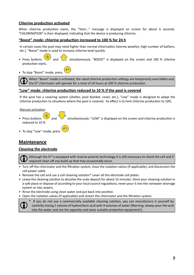#### **Chlorine production activated**

When chlorine production starts, the "Start..." message is displayed on screen for about 6 seconds. "CHLORINATION" is then displayed, indicating that the device is producing chlorine.

#### **"Boost" mode: chlorine produc! on increased to 100 % for 24 h**

In certain cases the pool may need higher than normal chlorination (stormy weather, high number of bathers, etc.). "Boost" mode is used to increase chlorine level quickly.

- Press buttons  $\bullet$  and  $\bullet$  simultaneously: "BOOST" is displayed on the screen and 100 % chlorine production starts.
- To stop "Boost" mode, press

When "Boost" mode is activated, the rated chlorine production settings are temporarily overridden and the  $E_i^2$  chlorinator will operate for a total of 24 hours at 100 % chlorine production.

#### "Low" mode: chlorine production reduced to 10 % if the pool is covered

If the pool has a covering system (shelter, pool blanket, cover, etc.), "Low" mode is designed to adapt the chlorine production to situations where the pool is covered. Its effect is to limit chlorine production to 10%.

Manual activation:

- Press buttons and  $\bullet$  and  $\bullet$  simultaneously: "LOW" is displayed on the screen and chlorine production is reduced to 10 %.
- To stop "Low" mode, press

## **Maintenance**

#### **Cleaning the electrode**

Although the  $E_i^2$  is equipped with reverse polarity technology it is still necessary to check the cell and if required clean off any build up that may occasionally occur.

- Turn off the chlorinator and the filtration system, close the isolation valves (if applicable), and disconnect the cell power cable.
- Remove the cell and use a cell cleaning solution\* cover all the electrode cell plates.
- Leave the cleaning solution to dissolve the scale deposit for about 15 minutes. Store your cleaning solution in a safe place or dispose of according to your local council regulations, never pour it into the rainwater drainage system or into sewers.
- Rinse the electrode using clean water and put back into position.
- Open the isolation valves (if applicable) and restart the chlorinator and the filtration system.



If you do not use a commercially available cleaning solution, you can manufacture it yourself by carefully mixing 1 volume of hydrochloric acid with 9 volumes of water (Warning: always pour the acid into the water and not the opposite and wear suitable protective equipment!).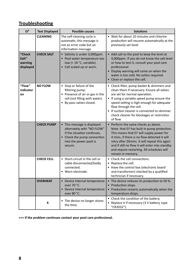# **Troubleshooting**

| Ei <sup>2</sup>                         | <b>Text Displayed</b> | <b>Possible causes</b>                                                                                                                                     | <b>Solutions</b>                                                                                                                                                                                                                                                                                                                                                                |
|-----------------------------------------|-----------------------|------------------------------------------------------------------------------------------------------------------------------------------------------------|---------------------------------------------------------------------------------------------------------------------------------------------------------------------------------------------------------------------------------------------------------------------------------------------------------------------------------------------------------------------------------|
|                                         | <b>CLEANING</b>       | The self-cleaning cycle is<br>automatic; this message is<br>not an error code but an<br>information message.                                               | • Wait for about 10 minutes and chlorine<br>production will resume automatically at the<br>previously set level.                                                                                                                                                                                                                                                                |
| "Check<br>Salt"<br>warning<br>displayed | <b>CHECK SALT</b>     | • Salinity is under 3,000ppm.<br>• Pool water temperature too<br>low (< 18 °C, variable).<br>• Cell scaled up or worn.                                     | • Add salt to the pool to keep the level at<br>4,000ppm. If you do not know the salt level<br>or how to test it, consult your pool care<br>professional.<br>• Display warning will come on when the<br>water is too cold. No action required.<br>• Clean or replace the cell.                                                                                                   |
| "Flow"<br>indicator<br>on               | <b>NO FLOW</b>        | • Stop or failure of the<br>filtering pump.<br>• Presence of air or gas in the<br>cell (not filling with water).<br>• By-pass valves closed.               | • Check filter, pump basket & skimmers and<br>clean them if necessary. Ensure all valves<br>are set for normal operation.<br>• If using a variable speed pump ensure the<br>speed setting is high enough for adequate<br>flow through the cell.<br>• If suction cleaner is connected to skimmer<br>check cleaner for blockages or restriction<br>of flow                        |
|                                         | <b>CHECK PUMP</b>     | • This message is displayed<br>alternately with "NO FLOW"<br>if the situation continues.<br>Check the pump connection<br>into the power pack is<br>secure. | • Perform the same checks as above.<br>Note: that Ei <sup>2</sup> has built in pump protection.<br>This means that Ei <sup>2</sup> will supply power for<br>4 mins, if there is no flow detected it will<br>retry after 20mins. It will repeat this again<br>and if still no flow it will enter into standby<br>and require restarting. All schedules will<br>remain in memory. |
|                                         | <b>CHECK CELL</b>     | • Short-circuit in the cell or<br>cable disconnected/badly<br>connected.<br>• Worn electrode.                                                              | • Check the cell connections.<br>• Replace the cell.<br>• Have the control box (electronic board<br>and transformer) checked by a qualified<br>technician if necessary.                                                                                                                                                                                                         |
|                                         | <b>OVERHEAT</b>       | • Device internal temperature<br>over 70 °C.<br>• Device internal temperature<br>over 80 °C.                                                               | • The device reduces its production to 50 %.<br>• Production stops.<br>• Production restarts automatically when the<br>temperature drops.                                                                                                                                                                                                                                       |
|                                         | x                     | • The device no longer stores<br>the time.                                                                                                                 | • Check the condition of the battery.<br>• Replace it if necessary (3 V battery, type<br>"CR2032").                                                                                                                                                                                                                                                                             |

**==> If the problem continues contact your pool care professional.**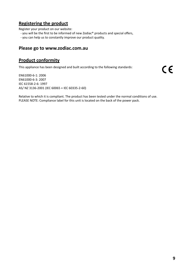## **Registering the product**

Register your product on our website:

- you will be the first to be informed of new Zodiac® products and special offers,
- you can help us to constantly improve our product quality.

## **Please go to www.zodiac.com.au**

## **Product conformity**

This appliance has been designed and built according to the following standards:

EN61000-6-1: 2006 EN61000-6-3: 2007 IEC 61558-2-6: 1997 AS/ NZ 3136-2001 (IEC 60065 + IEC 60335-2-60)

Relative to which it is compliant. The product has been tested under the normal conditions of use. PLEASE NOTE: Compliance label for this unit is located on the back of the power pack.

 $C \in$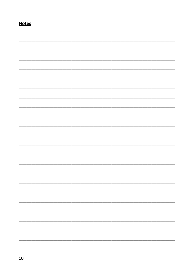## **Notes**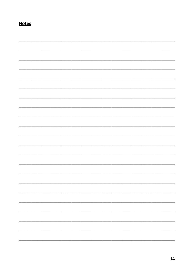## **Notes**